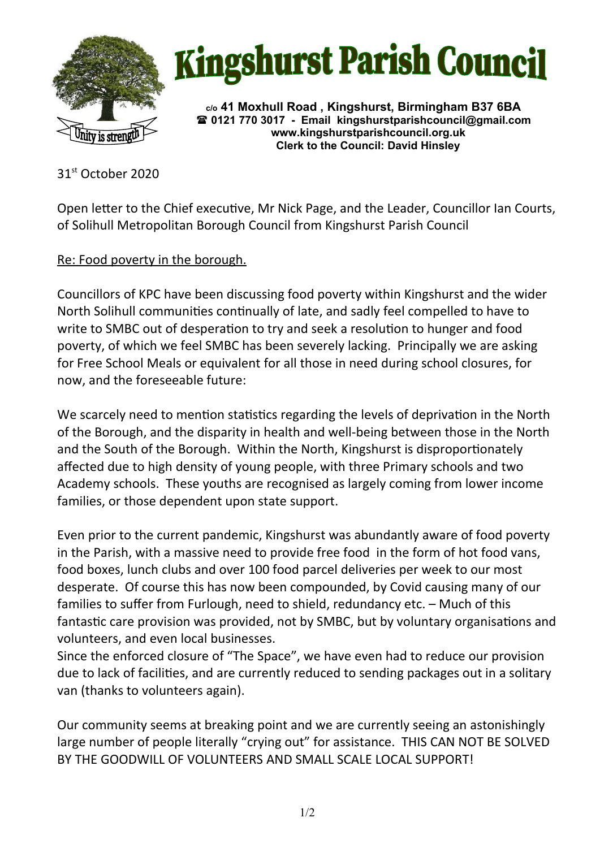



**c/o 41 Moxhull Road , Kingshurst, Birmingham B37 6BA 0121 770 3017 - Email [kingshurstparishcouncil@gmail.com](mailto:kingshurstparishcouncil@gmail.com) www.kingshurstparishcouncil.org.uk Clerk to the Council: David Hinsley** 

31st October 2020

Open letter to the Chief executive, Mr Nick Page, and the Leader, Councillor Ian Courts, of Solihull Metropolitan Borough Council from Kingshurst Parish Council

Re: Food poverty in the borough.

Councillors of KPC have been discussing food poverty within Kingshurst and the wider North Solihull communities continually of late, and sadly feel compelled to have to write to SMBC out of desperation to try and seek a resolution to hunger and food poverty, of which we feel SMBC has been severely lacking. Principally we are asking for Free School Meals or equivalent for all those in need during school closures, for now, and the foreseeable future:

We scarcely need to mention statistics regarding the levels of deprivation in the North of the Borough, and the disparity in health and well-being between those in the North and the South of the Borough. Within the North, Kingshurst is disproportionately affected due to high density of young people, with three Primary schools and two Academy schools. These youths are recognised as largely coming from lower income families, or those dependent upon state support.

Even prior to the current pandemic, Kingshurst was abundantly aware of food poverty in the Parish, with a massive need to provide free food in the form of hot food vans, food boxes, lunch clubs and over 100 food parcel deliveries per week to our most desperate. Of course this has now been compounded, by Covid causing many of our families to suffer from Furlough, need to shield, redundancy etc. – Much of this fantastic care provision was provided, not by SMBC, but by voluntary organisations and volunteers, and even local businesses.

Since the enforced closure of "The Space", we have even had to reduce our provision due to lack of facilities, and are currently reduced to sending packages out in a solitary van (thanks to volunteers again).

Our community seems at breaking point and we are currently seeing an astonishingly large number of people literally "crying out" for assistance. THIS CAN NOT BE SOLVED BY THE GOODWILL OF VOLUNTEERS AND SMALL SCALE LOCAL SUPPORT!